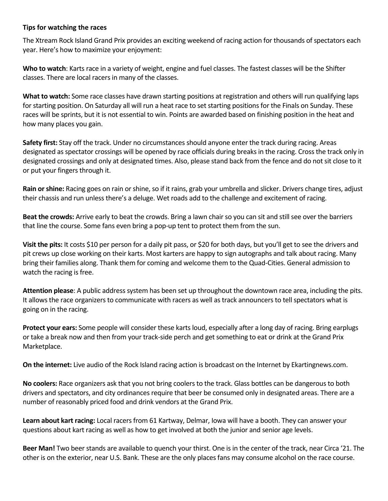## **Tips for watching the races**

The Xtream Rock Island Grand Prix provides an exciting weekend of racing action for thousands of spectators each year. Here's how to maximize your enjoyment:

**Who to watch**: Karts race in a variety of weight, engine and fuel classes. The fastest classes will be the Shifter classes. There are local racers in many of the classes.

**What to watch:** Some race classes have drawn starting positions at registration and others will run qualifying laps for starting position. On Saturday all will run a heat race to set starting positions for the Finals on Sunday. These races will be sprints, but it is not essential to win. Points are awarded based on finishing position in the heat and how many places you gain.

**Safety first:** Stay off the track. Under no circumstances should anyone enter the track during racing. Areas designated as spectator crossings will be opened by race officials during breaks in the racing. Cross the track only in designated crossings and only at designated times. Also, please stand back from the fence and do not sit close to it or put your fingers through it.

**Rain or shine:** Racing goes on rain or shine, so if it rains, grab your umbrella and slicker. Drivers change tires, adjust their chassis and run unless there's a deluge. Wet roads add to the challenge and excitement of racing.

**Beat the crowds:** Arrive early to beat the crowds. Bring a lawn chair so you can sit and still see over the barriers that line the course. Some fans even bring a pop-up tent to protect them from the sun.

**Visit the pits:** It costs \$10 per person for a daily pit pass, or \$20 for both days, but you'll get to see the drivers and pit crews up close working on their karts. Most karters are happy to sign autographs and talk about racing. Many bring their families along. Thank them for coming and welcome them to the Quad-Cities. General admission to watch the racing is free.

**Attention please**: A public address system has been set up throughout the downtown race area, including the pits. It allows the race organizers to communicate with racers as well as track announcers to tell spectators what is going on in the racing.

**Protect your ears:** Some people will consider these karts loud, especially after a long day of racing. Bring earplugs or take a break now and then from your track-side perch and get something to eat or drink at the Grand Prix Marketplace.

**On the internet:** Live audio of the Rock Island racing action is broadcast on the Internet by Ekartingnews.com.

**No coolers:** Race organizers ask that you not bring coolers to the track. Glass bottles can be dangerous to both drivers and spectators, and city ordinances require that beer be consumed only in designated areas. There are a number of reasonably priced food and drink vendors at the Grand Prix.

**Learn about kart racing:** Local racers from 61 Kartway, Delmar, Iowa will have a booth. They can answer your questions about kart racing as well as how to get involved at both the junior and senior age levels.

**Beer Man!** Two beer stands are available to quench your thirst. One is in the center of the track, near Circa '21. The other is on the exterior, near U.S. Bank. These are the only places fans may consume alcohol on the race course.